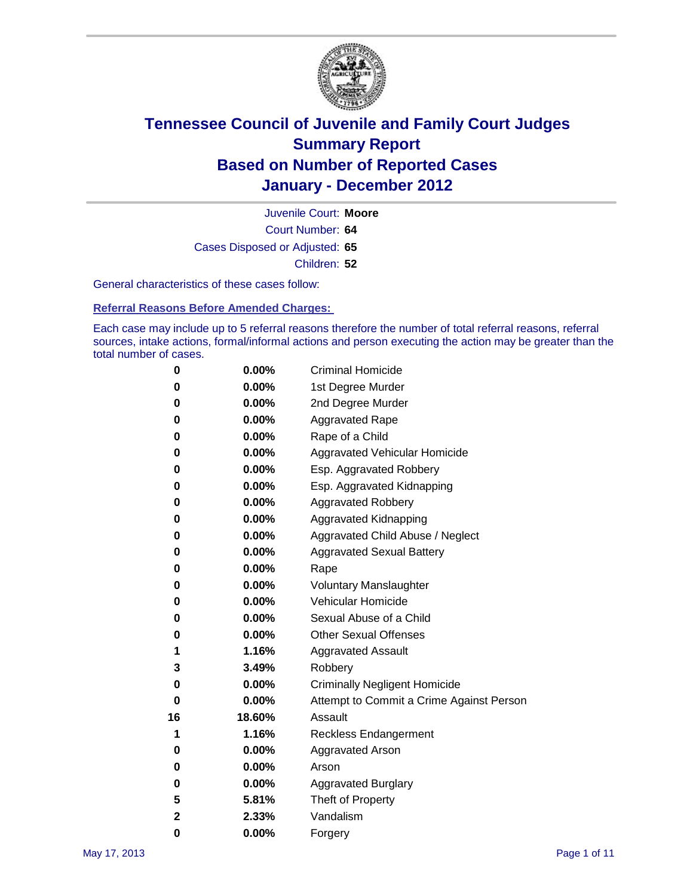

Court Number: **64** Juvenile Court: **Moore** Cases Disposed or Adjusted: **65** Children: **52**

General characteristics of these cases follow:

**Referral Reasons Before Amended Charges:** 

Each case may include up to 5 referral reasons therefore the number of total referral reasons, referral sources, intake actions, formal/informal actions and person executing the action may be greater than the total number of cases.

| 0  | 0.00%    | <b>Criminal Homicide</b>                 |
|----|----------|------------------------------------------|
| 0  | 0.00%    | 1st Degree Murder                        |
| 0  | 0.00%    | 2nd Degree Murder                        |
| 0  | 0.00%    | <b>Aggravated Rape</b>                   |
| 0  | 0.00%    | Rape of a Child                          |
| 0  | 0.00%    | Aggravated Vehicular Homicide            |
| 0  | 0.00%    | Esp. Aggravated Robbery                  |
| 0  | 0.00%    | Esp. Aggravated Kidnapping               |
| 0  | 0.00%    | <b>Aggravated Robbery</b>                |
| 0  | 0.00%    | Aggravated Kidnapping                    |
| 0  | 0.00%    | Aggravated Child Abuse / Neglect         |
| 0  | 0.00%    | <b>Aggravated Sexual Battery</b>         |
| 0  | 0.00%    | Rape                                     |
| 0  | $0.00\%$ | <b>Voluntary Manslaughter</b>            |
| 0  | 0.00%    | Vehicular Homicide                       |
| 0  | 0.00%    | Sexual Abuse of a Child                  |
| 0  | 0.00%    | <b>Other Sexual Offenses</b>             |
| 1  | 1.16%    | <b>Aggravated Assault</b>                |
| 3  | 3.49%    | Robbery                                  |
| 0  | 0.00%    | <b>Criminally Negligent Homicide</b>     |
| 0  | 0.00%    | Attempt to Commit a Crime Against Person |
| 16 | 18.60%   | Assault                                  |
| 1  | 1.16%    | <b>Reckless Endangerment</b>             |
| 0  | 0.00%    | <b>Aggravated Arson</b>                  |
| 0  | 0.00%    | Arson                                    |
| 0  | 0.00%    | <b>Aggravated Burglary</b>               |
| 5  | 5.81%    | Theft of Property                        |
| 2  | 2.33%    | Vandalism                                |
| 0  | 0.00%    | Forgery                                  |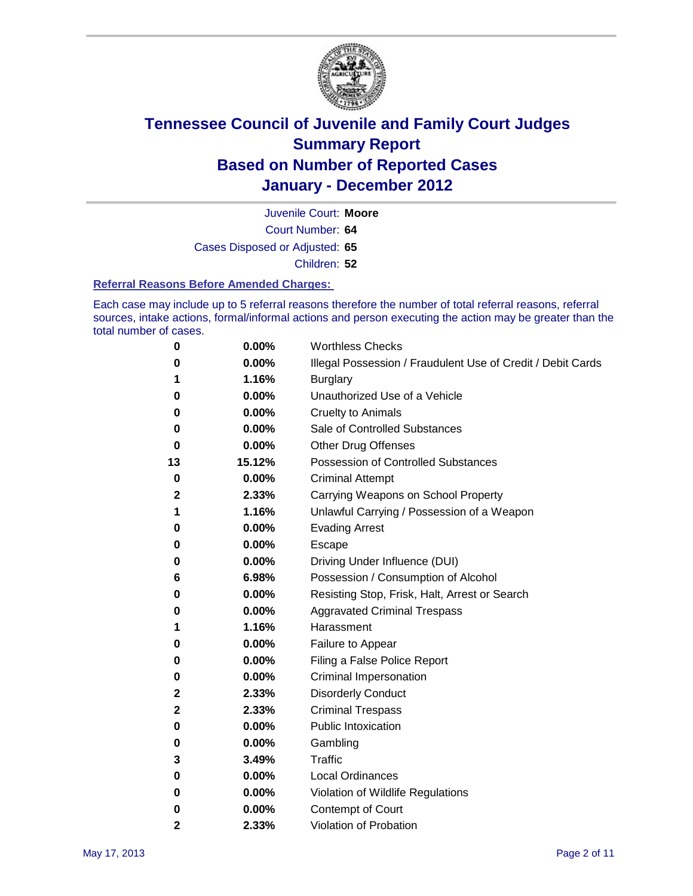

Court Number: **64** Juvenile Court: **Moore** Cases Disposed or Adjusted: **65**

Children: **52**

#### **Referral Reasons Before Amended Charges:**

Each case may include up to 5 referral reasons therefore the number of total referral reasons, referral sources, intake actions, formal/informal actions and person executing the action may be greater than the total number of cases.

| 0            | 0.00%    | <b>Worthless Checks</b>                                     |
|--------------|----------|-------------------------------------------------------------|
| 0            | 0.00%    | Illegal Possession / Fraudulent Use of Credit / Debit Cards |
| 1            | 1.16%    | <b>Burglary</b>                                             |
| 0            | 0.00%    | Unauthorized Use of a Vehicle                               |
| 0            | $0.00\%$ | <b>Cruelty to Animals</b>                                   |
| 0            | 0.00%    | Sale of Controlled Substances                               |
| 0            | $0.00\%$ | <b>Other Drug Offenses</b>                                  |
| 13           | 15.12%   | <b>Possession of Controlled Substances</b>                  |
| 0            | 0.00%    | <b>Criminal Attempt</b>                                     |
| 2            | 2.33%    | Carrying Weapons on School Property                         |
| 1            | 1.16%    | Unlawful Carrying / Possession of a Weapon                  |
| 0            | 0.00%    | <b>Evading Arrest</b>                                       |
| 0            | $0.00\%$ | Escape                                                      |
| 0            | 0.00%    | Driving Under Influence (DUI)                               |
| 6            | 6.98%    | Possession / Consumption of Alcohol                         |
| 0            | 0.00%    | Resisting Stop, Frisk, Halt, Arrest or Search               |
| 0            | $0.00\%$ | <b>Aggravated Criminal Trespass</b>                         |
| 1            | 1.16%    | Harassment                                                  |
| 0            | 0.00%    | Failure to Appear                                           |
| 0            | 0.00%    | Filing a False Police Report                                |
| 0            | 0.00%    | Criminal Impersonation                                      |
| $\mathbf{2}$ | 2.33%    | <b>Disorderly Conduct</b>                                   |
| $\mathbf{2}$ | 2.33%    | <b>Criminal Trespass</b>                                    |
| 0            | 0.00%    | <b>Public Intoxication</b>                                  |
| 0            | $0.00\%$ | Gambling                                                    |
| 3            | 3.49%    | Traffic                                                     |
| 0            | $0.00\%$ | <b>Local Ordinances</b>                                     |
| 0            | 0.00%    | Violation of Wildlife Regulations                           |
| 0            | $0.00\%$ | Contempt of Court                                           |
| 2            | 2.33%    | Violation of Probation                                      |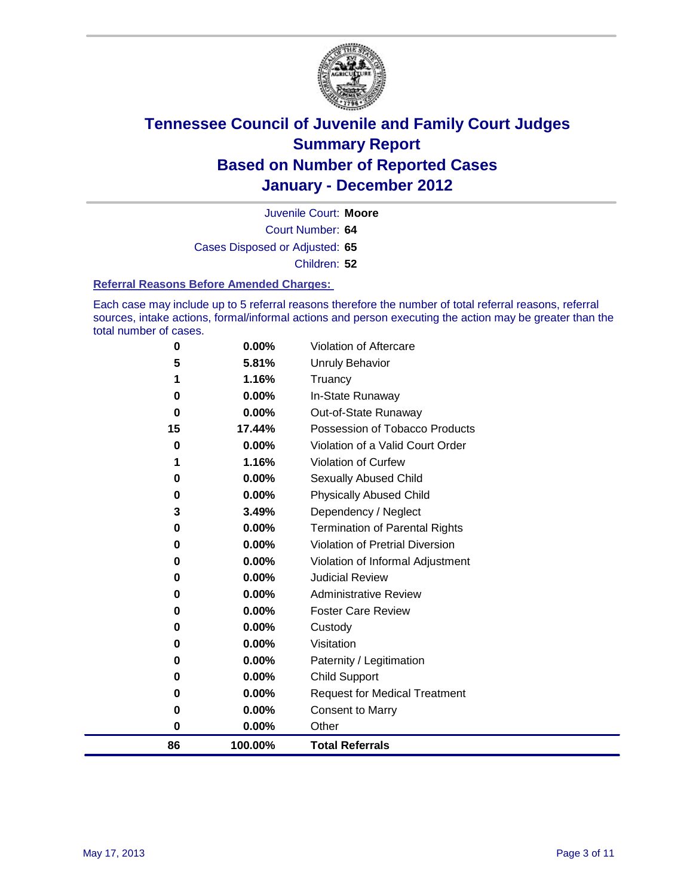

Court Number: **64** Juvenile Court: **Moore** Cases Disposed or Adjusted: **65** Children: **52**

#### **Referral Reasons Before Amended Charges:**

Each case may include up to 5 referral reasons therefore the number of total referral reasons, referral sources, intake actions, formal/informal actions and person executing the action may be greater than the total number of cases.

| 86       | 100.00%        | <b>Total Referrals</b>                 |
|----------|----------------|----------------------------------------|
| 0<br>0   | 0.00%<br>0.00% | <b>Consent to Marry</b><br>Other       |
| 0        | 0.00%          | <b>Request for Medical Treatment</b>   |
| 0        | 0.00%          | <b>Child Support</b>                   |
| 0        | 0.00%          | Paternity / Legitimation               |
| 0        | 0.00%          | Visitation                             |
| 0        | 0.00%          | Custody                                |
| 0        | $0.00\%$       | <b>Foster Care Review</b>              |
| 0        | $0.00\%$       | <b>Administrative Review</b>           |
| 0        | $0.00\%$       | <b>Judicial Review</b>                 |
| 0        | 0.00%          | Violation of Informal Adjustment       |
| 0        | $0.00\%$       | <b>Violation of Pretrial Diversion</b> |
| 0        | 0.00%          | Termination of Parental Rights         |
| 3        | 3.49%          | Dependency / Neglect                   |
| $\bf{0}$ | 0.00%          | <b>Physically Abused Child</b>         |
| 0        | 0.00%          | <b>Sexually Abused Child</b>           |
|          | 1.16%          | Violation of Curfew                    |
| 0        | 0.00%          | Violation of a Valid Court Order       |
| 15       | 17.44%         | Possession of Tobacco Products         |
| $\bf{0}$ | 0.00%          | Out-of-State Runaway                   |
| $\bf{0}$ | 0.00%          | In-State Runaway                       |
|          | 1.16%          | Truancy                                |
| 5        | 5.81%          | <b>Unruly Behavior</b>                 |
| $\bf{0}$ | 0.00%          | Violation of Aftercare                 |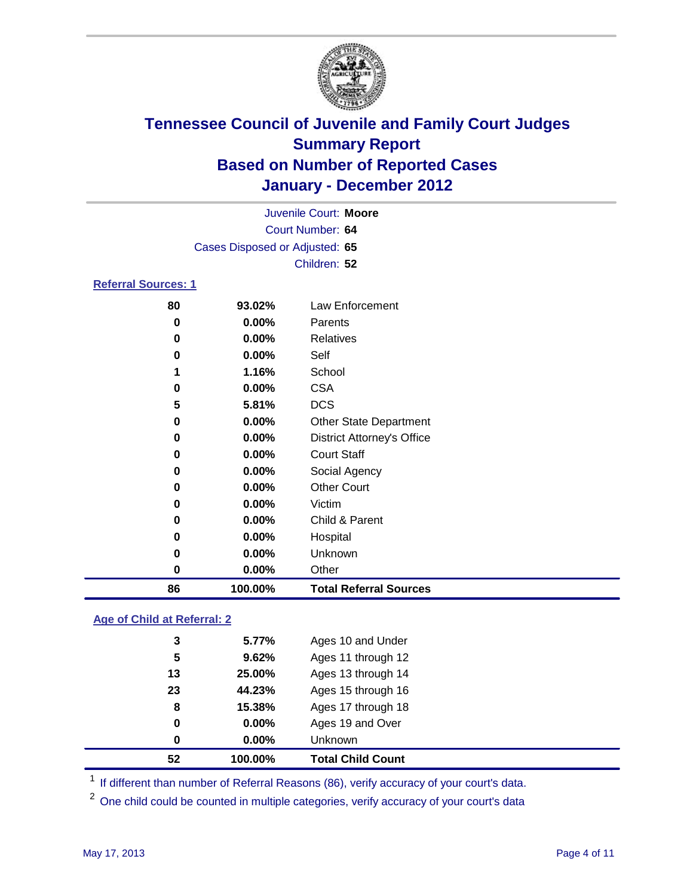

| Juvenile Court: Moore          |         |                                   |  |  |
|--------------------------------|---------|-----------------------------------|--|--|
| Court Number: 64               |         |                                   |  |  |
| Cases Disposed or Adjusted: 65 |         |                                   |  |  |
|                                |         | Children: 52                      |  |  |
| <b>Referral Sources: 1</b>     |         |                                   |  |  |
| 80                             | 93.02%  | Law Enforcement                   |  |  |
| 0                              | 0.00%   | Parents                           |  |  |
| 0                              | 0.00%   | <b>Relatives</b>                  |  |  |
| 0                              | 0.00%   | Self                              |  |  |
| 1                              | 1.16%   | School                            |  |  |
| 0                              | 0.00%   | <b>CSA</b>                        |  |  |
| 5                              | 5.81%   | <b>DCS</b>                        |  |  |
| 0                              | 0.00%   | <b>Other State Department</b>     |  |  |
| 0                              | 0.00%   | <b>District Attorney's Office</b> |  |  |
| 0                              | 0.00%   | <b>Court Staff</b>                |  |  |
| 0                              | 0.00%   | Social Agency                     |  |  |
| 0                              | 0.00%   | <b>Other Court</b>                |  |  |
| 0                              | 0.00%   | Victim                            |  |  |
| 0                              | 0.00%   | Child & Parent                    |  |  |
| 0                              | 0.00%   | Hospital                          |  |  |
| 0                              | 0.00%   | Unknown                           |  |  |
| 0                              | 0.00%   | Other                             |  |  |
| 86                             | 100.00% | <b>Total Referral Sources</b>     |  |  |

#### **Age of Child at Referral: 2**

|    |        | <b>Total Child Count</b> |
|----|--------|--------------------------|
| 0  | 0.00%  | Unknown                  |
| 0  | 0.00%  | Ages 19 and Over         |
| 8  | 15.38% | Ages 17 through 18       |
| 23 | 44.23% | Ages 15 through 16       |
| 13 | 25.00% | Ages 13 through 14       |
| 5  | 9.62%  | Ages 11 through 12       |
| 3  | 5.77%  | Ages 10 and Under        |
|    |        | 52<br>100.00%            |

<sup>1</sup> If different than number of Referral Reasons (86), verify accuracy of your court's data.

<sup>2</sup> One child could be counted in multiple categories, verify accuracy of your court's data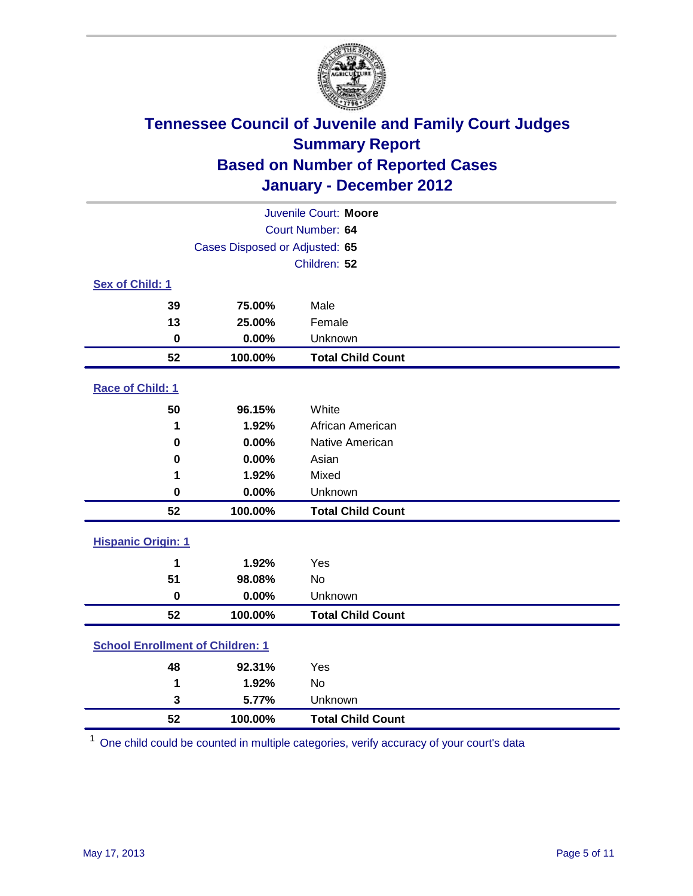

| Juvenile Court: Moore                   |                                |                          |  |  |
|-----------------------------------------|--------------------------------|--------------------------|--|--|
| Court Number: 64                        |                                |                          |  |  |
|                                         | Cases Disposed or Adjusted: 65 |                          |  |  |
|                                         | Children: 52                   |                          |  |  |
| Sex of Child: 1                         |                                |                          |  |  |
| 39                                      | 75.00%                         | Male                     |  |  |
| 13                                      | 25.00%                         | Female                   |  |  |
| $\bf{0}$                                | 0.00%                          | Unknown                  |  |  |
| 52                                      | 100.00%                        | <b>Total Child Count</b> |  |  |
| Race of Child: 1                        |                                |                          |  |  |
| 50                                      | 96.15%                         | White                    |  |  |
| 1                                       | 1.92%                          | African American         |  |  |
| 0                                       | 0.00%                          | Native American          |  |  |
| 0                                       | 0.00%                          | Asian                    |  |  |
| 1                                       | 1.92%                          | Mixed                    |  |  |
| $\mathbf 0$                             | 0.00%                          | Unknown                  |  |  |
| 52                                      | 100.00%                        | <b>Total Child Count</b> |  |  |
| <b>Hispanic Origin: 1</b>               |                                |                          |  |  |
| 1                                       | 1.92%                          | Yes                      |  |  |
| 51                                      | 98.08%                         | <b>No</b>                |  |  |
| $\mathbf 0$                             | 0.00%                          | Unknown                  |  |  |
| 52                                      | 100.00%                        | <b>Total Child Count</b> |  |  |
| <b>School Enrollment of Children: 1</b> |                                |                          |  |  |
| 48                                      | 92.31%                         | Yes                      |  |  |
| 1                                       | 1.92%                          | No                       |  |  |
| 3                                       | 5.77%                          | Unknown                  |  |  |
| 52                                      | 100.00%                        | <b>Total Child Count</b> |  |  |

One child could be counted in multiple categories, verify accuracy of your court's data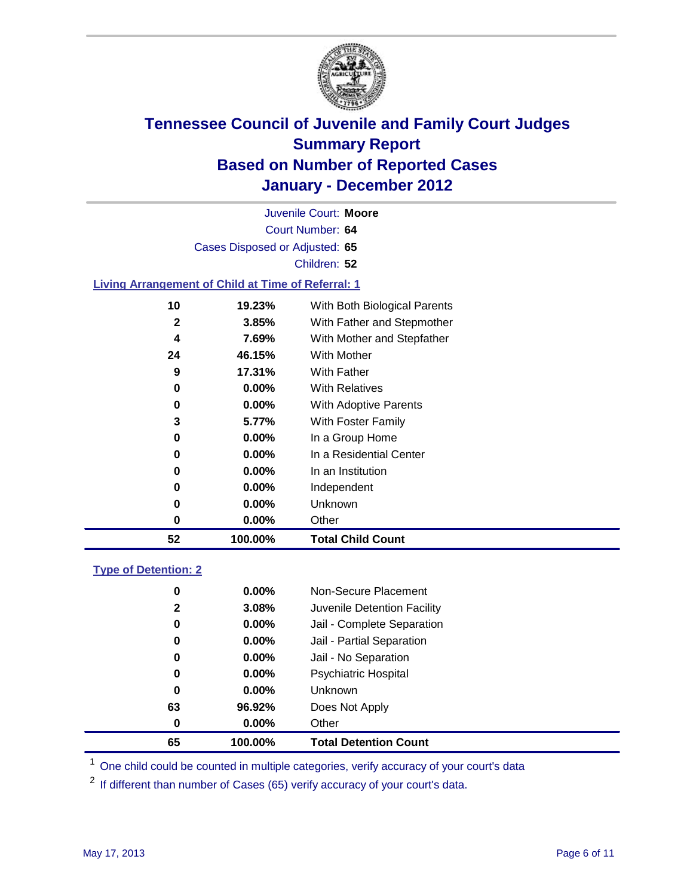

Court Number: **64** Juvenile Court: **Moore** Cases Disposed or Adjusted: **65** Children: **52 Living Arrangement of Child at Time of Referral: 1 19.23%** With Both Biological Parents **3.85%** With Father and Stepmother **7.69%** With Mother and Stepfather **46.15%** With Mother **17.31%** With Father **0.00%** With Relatives

| 52 | 100.00%  | <b>Total Child Count</b> |
|----|----------|--------------------------|
| 0  | $0.00\%$ | Other                    |
| 0  | $0.00\%$ | Unknown                  |
| 0  | 0.00%    | Independent              |
| 0  | $0.00\%$ | In an Institution        |
| 0  | $0.00\%$ | In a Residential Center  |
| 0  | $0.00\%$ | In a Group Home          |
| 3  | 5.77%    | With Foster Family       |
| 0  | $0.00\%$ | With Adoptive Parents    |
| 0  | $0.00\%$ | <b>With Relatives</b>    |
| 9  | 17.31%   | With Father              |
|    |          |                          |

| <b>Type of Detention: 2</b> |
|-----------------------------|
|-----------------------------|

| 65           | 100.00%  | <b>Total Detention Count</b> |
|--------------|----------|------------------------------|
| 0            | $0.00\%$ | Other                        |
| 63           | 96.92%   | Does Not Apply               |
| 0            | $0.00\%$ | <b>Unknown</b>               |
| 0            | 0.00%    | <b>Psychiatric Hospital</b>  |
| 0            | 0.00%    | Jail - No Separation         |
| 0            | 0.00%    | Jail - Partial Separation    |
| 0            | 0.00%    | Jail - Complete Separation   |
| $\mathbf{2}$ | 3.08%    | Juvenile Detention Facility  |
| 0            | 0.00%    | Non-Secure Placement         |
|              |          |                              |

<sup>1</sup> One child could be counted in multiple categories, verify accuracy of your court's data

<sup>2</sup> If different than number of Cases (65) verify accuracy of your court's data.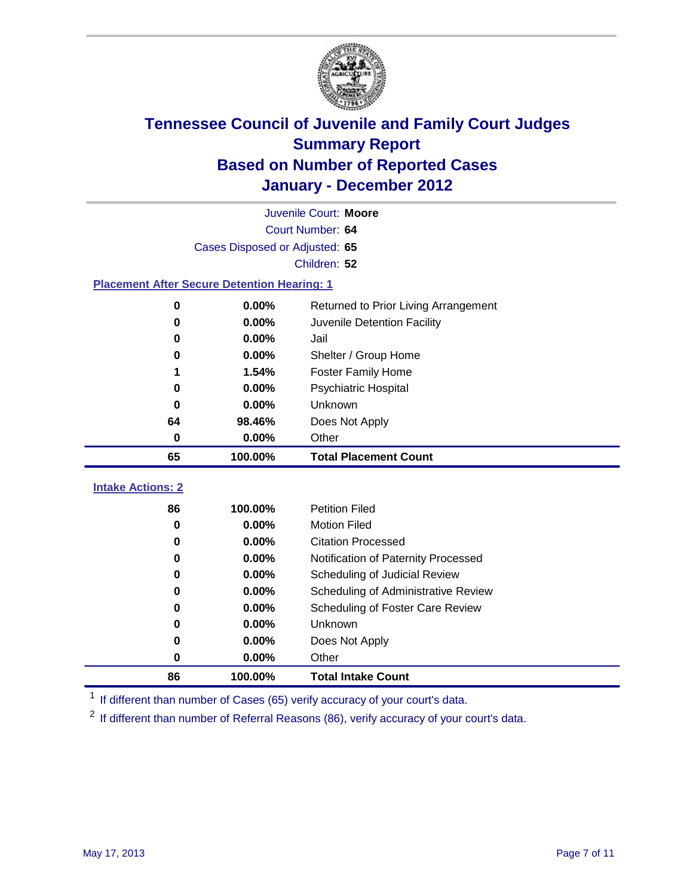

|                                | Juvenile Court: Moore                              |                                      |  |  |  |  |
|--------------------------------|----------------------------------------------------|--------------------------------------|--|--|--|--|
| Court Number: 64               |                                                    |                                      |  |  |  |  |
| Cases Disposed or Adjusted: 65 |                                                    |                                      |  |  |  |  |
| Children: 52                   |                                                    |                                      |  |  |  |  |
|                                | <b>Placement After Secure Detention Hearing: 1</b> |                                      |  |  |  |  |
| 0                              | 0.00%                                              | Returned to Prior Living Arrangement |  |  |  |  |
| $\bf{0}$                       | 0.00%                                              | Juvenile Detention Facility          |  |  |  |  |
| 0                              | 0.00%                                              | Jail                                 |  |  |  |  |
| 0                              | 0.00%                                              | Shelter / Group Home                 |  |  |  |  |
| 1                              | 1.54%                                              | Foster Family Home                   |  |  |  |  |
| 0                              | 0.00%                                              | <b>Psychiatric Hospital</b>          |  |  |  |  |
| 0                              | 0.00%                                              | Unknown                              |  |  |  |  |
| 64                             | 98.46%                                             | Does Not Apply                       |  |  |  |  |
| 0                              | 0.00%                                              | Other                                |  |  |  |  |
| 65                             | 100.00%                                            | <b>Total Placement Count</b>         |  |  |  |  |
| <b>Intake Actions: 2</b>       |                                                    |                                      |  |  |  |  |
| 86                             | 100.00%                                            | <b>Petition Filed</b>                |  |  |  |  |
| 0                              | 0.00%                                              | <b>Motion Filed</b>                  |  |  |  |  |
| 0                              | 0.00%                                              | <b>Citation Processed</b>            |  |  |  |  |
| $\bf{0}$                       | 0.00%                                              | Notification of Paternity Processed  |  |  |  |  |
| 0                              | 0.00%                                              | Scheduling of Judicial Review        |  |  |  |  |
| 0                              | 0.00%                                              | Scheduling of Administrative Review  |  |  |  |  |
| 0                              | 0.00%                                              | Scheduling of Foster Care Review     |  |  |  |  |
| 0                              | 0.00%                                              | Unknown                              |  |  |  |  |
| 0                              | 0.00%                                              | Does Not Apply                       |  |  |  |  |
| 0                              | 0.00%                                              | Other                                |  |  |  |  |
| 86                             | 100.00%                                            | <b>Total Intake Count</b>            |  |  |  |  |

<sup>1</sup> If different than number of Cases (65) verify accuracy of your court's data.

<sup>2</sup> If different than number of Referral Reasons (86), verify accuracy of your court's data.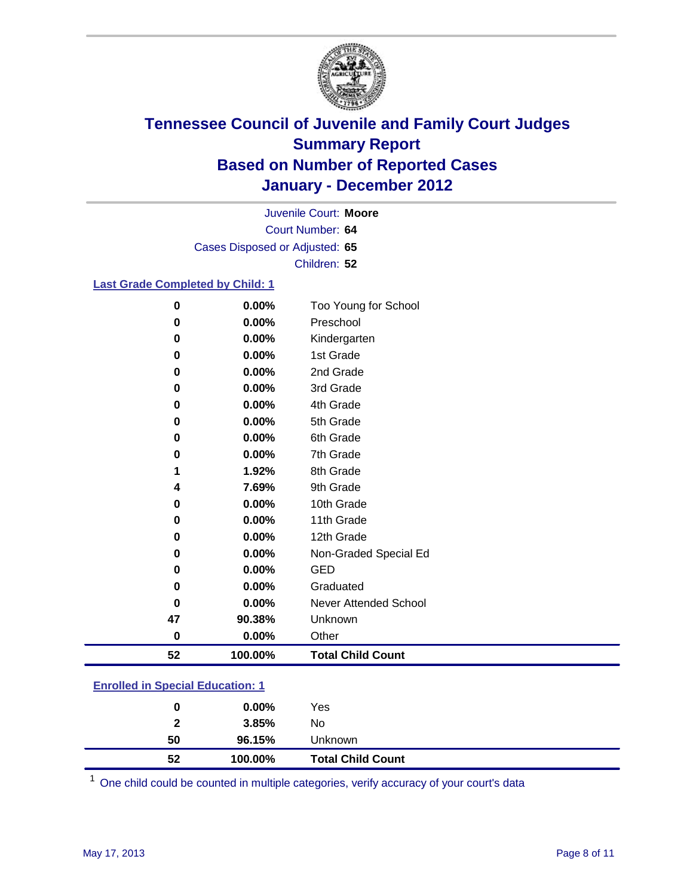

Court Number: **64** Juvenile Court: **Moore** Cases Disposed or Adjusted: **65** Children: **52**

#### **Last Grade Completed by Child: 1**

| 0                                       | 0.00%   | Too Young for School         |
|-----------------------------------------|---------|------------------------------|
| 0                                       | 0.00%   | Preschool                    |
| 0                                       | 0.00%   | Kindergarten                 |
| 0                                       | 0.00%   | 1st Grade                    |
| $\pmb{0}$                               | 0.00%   | 2nd Grade                    |
| 0                                       | 0.00%   | 3rd Grade                    |
| 0                                       | 0.00%   | 4th Grade                    |
| $\bf{0}$                                | 0.00%   | 5th Grade                    |
| 0                                       | 0.00%   | 6th Grade                    |
| 0                                       | 0.00%   | 7th Grade                    |
| 1                                       | 1.92%   | 8th Grade                    |
| 4                                       | 7.69%   | 9th Grade                    |
| 0                                       | 0.00%   | 10th Grade                   |
| 0                                       | 0.00%   | 11th Grade                   |
| 0                                       | 0.00%   | 12th Grade                   |
| 0                                       | 0.00%   | Non-Graded Special Ed        |
| 0                                       | 0.00%   | <b>GED</b>                   |
| 0                                       | 0.00%   | Graduated                    |
| 0                                       | 0.00%   | <b>Never Attended School</b> |
| 47                                      | 90.38%  | Unknown                      |
| $\bf{0}$                                | 0.00%   | Other                        |
| 52                                      | 100.00% | <b>Total Child Count</b>     |
| <b>Enrolled in Special Education: 1</b> |         |                              |

| 52                                  | 100.00%  | <b>Total Child Count</b> |  |
|-------------------------------------|----------|--------------------------|--|
| 50                                  | 96.15%   | <b>Unknown</b>           |  |
| $\mathbf{2}$                        | 3.85%    | No.                      |  |
| 0                                   | $0.00\%$ | Yes                      |  |
| Lillvilled III opecial Ludcation. T |          |                          |  |

One child could be counted in multiple categories, verify accuracy of your court's data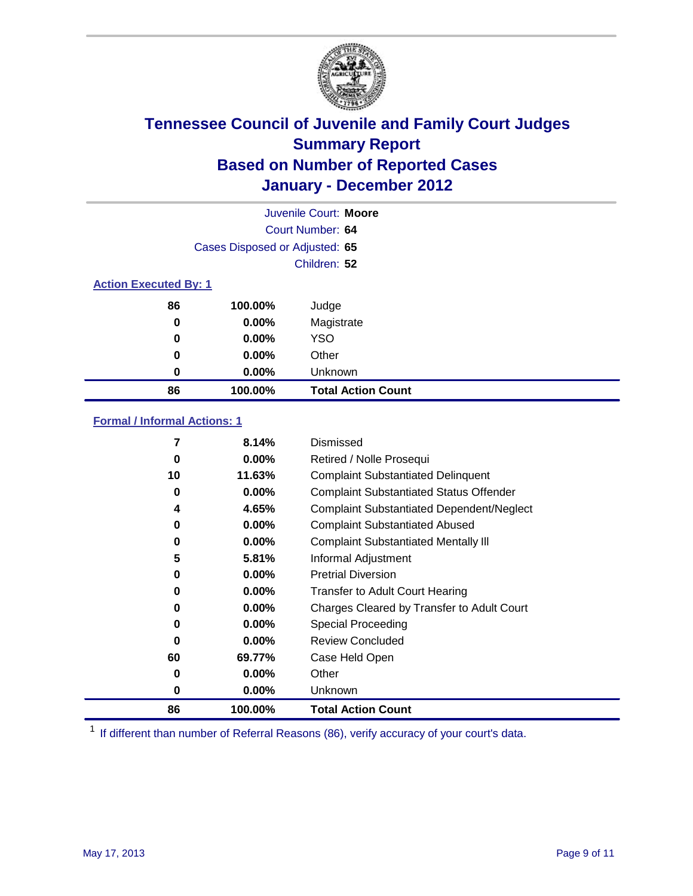

|                              |                                | Juvenile Court: Moore     |
|------------------------------|--------------------------------|---------------------------|
|                              |                                | Court Number: 64          |
|                              | Cases Disposed or Adjusted: 65 |                           |
|                              |                                | Children: 52              |
| <b>Action Executed By: 1</b> |                                |                           |
| 86                           | 100.00%                        | Judge                     |
| $\bf{0}$                     | $0.00\%$                       | Magistrate                |
| 0                            | $0.00\%$                       | <b>YSO</b>                |
| 0                            | 0.00%                          | Other                     |
| 0                            | 0.00%                          | Unknown                   |
| 86                           | 100.00%                        | <b>Total Action Count</b> |

#### **Formal / Informal Actions: 1**

| 7        | 8.14%    | Dismissed                                        |
|----------|----------|--------------------------------------------------|
| 0        | $0.00\%$ | Retired / Nolle Prosequi                         |
| 10       | 11.63%   | <b>Complaint Substantiated Delinquent</b>        |
| 0        | $0.00\%$ | <b>Complaint Substantiated Status Offender</b>   |
| 4        | 4.65%    | <b>Complaint Substantiated Dependent/Neglect</b> |
| 0        | $0.00\%$ | <b>Complaint Substantiated Abused</b>            |
| 0        | $0.00\%$ | <b>Complaint Substantiated Mentally III</b>      |
| 5        | 5.81%    | Informal Adjustment                              |
| 0        | $0.00\%$ | <b>Pretrial Diversion</b>                        |
| 0        | $0.00\%$ | <b>Transfer to Adult Court Hearing</b>           |
| 0        | 0.00%    | Charges Cleared by Transfer to Adult Court       |
| 0        | $0.00\%$ | Special Proceeding                               |
| $\bf{0}$ | $0.00\%$ | <b>Review Concluded</b>                          |
| 60       | 69.77%   | Case Held Open                                   |
| 0        | $0.00\%$ | Other                                            |
| 0        | $0.00\%$ | <b>Unknown</b>                                   |
| 86       | 100.00%  | <b>Total Action Count</b>                        |

<sup>1</sup> If different than number of Referral Reasons (86), verify accuracy of your court's data.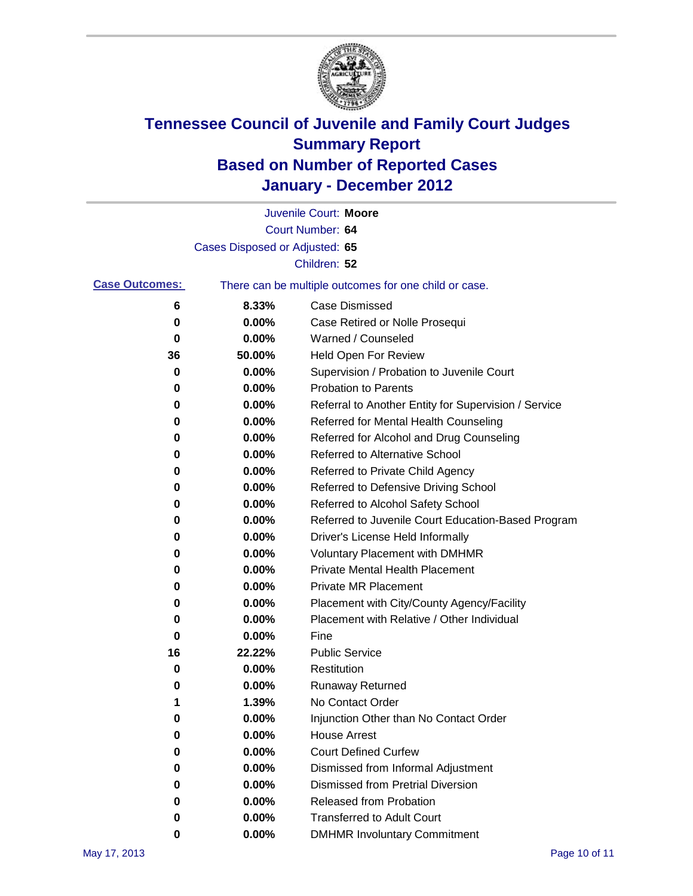

|                       |                                | Juvenile Court: Moore                                 |
|-----------------------|--------------------------------|-------------------------------------------------------|
|                       |                                | Court Number: 64                                      |
|                       | Cases Disposed or Adjusted: 65 |                                                       |
|                       |                                | Children: 52                                          |
| <b>Case Outcomes:</b> |                                | There can be multiple outcomes for one child or case. |
| 6                     | 8.33%                          | <b>Case Dismissed</b>                                 |
| 0                     | 0.00%                          | Case Retired or Nolle Prosequi                        |
| 0                     | 0.00%                          | Warned / Counseled                                    |
| 36                    | 50.00%                         | Held Open For Review                                  |
| 0                     | 0.00%                          | Supervision / Probation to Juvenile Court             |
| 0                     | 0.00%                          | <b>Probation to Parents</b>                           |
| 0                     | 0.00%                          | Referral to Another Entity for Supervision / Service  |
| 0                     | 0.00%                          | Referred for Mental Health Counseling                 |
| 0                     | 0.00%                          | Referred for Alcohol and Drug Counseling              |
| 0                     | 0.00%                          | <b>Referred to Alternative School</b>                 |
| 0                     | 0.00%                          | Referred to Private Child Agency                      |
| 0                     | 0.00%                          | Referred to Defensive Driving School                  |
| 0                     | 0.00%                          | Referred to Alcohol Safety School                     |
| 0                     | 0.00%                          | Referred to Juvenile Court Education-Based Program    |
| 0                     | 0.00%                          | Driver's License Held Informally                      |
| 0                     | 0.00%                          | <b>Voluntary Placement with DMHMR</b>                 |
| 0                     | 0.00%                          | <b>Private Mental Health Placement</b>                |
| 0                     | 0.00%                          | <b>Private MR Placement</b>                           |
| 0                     | 0.00%                          | Placement with City/County Agency/Facility            |
| 0                     | 0.00%                          | Placement with Relative / Other Individual            |
| 0                     | 0.00%                          | Fine                                                  |
| 16                    | 22.22%                         | <b>Public Service</b>                                 |
| 0                     | 0.00%                          | Restitution                                           |
| 0                     | 0.00%                          | <b>Runaway Returned</b>                               |
| 1                     | 1.39%                          | No Contact Order                                      |
| 0                     | 0.00%                          | Injunction Other than No Contact Order                |
| 0                     | 0.00%                          | <b>House Arrest</b>                                   |
| 0                     | 0.00%                          | <b>Court Defined Curfew</b>                           |
| 0                     | 0.00%                          | Dismissed from Informal Adjustment                    |
| 0                     | 0.00%                          | <b>Dismissed from Pretrial Diversion</b>              |
| 0                     | 0.00%                          | Released from Probation                               |
| 0                     | 0.00%                          | <b>Transferred to Adult Court</b>                     |
| 0                     | 0.00%                          | <b>DMHMR Involuntary Commitment</b>                   |